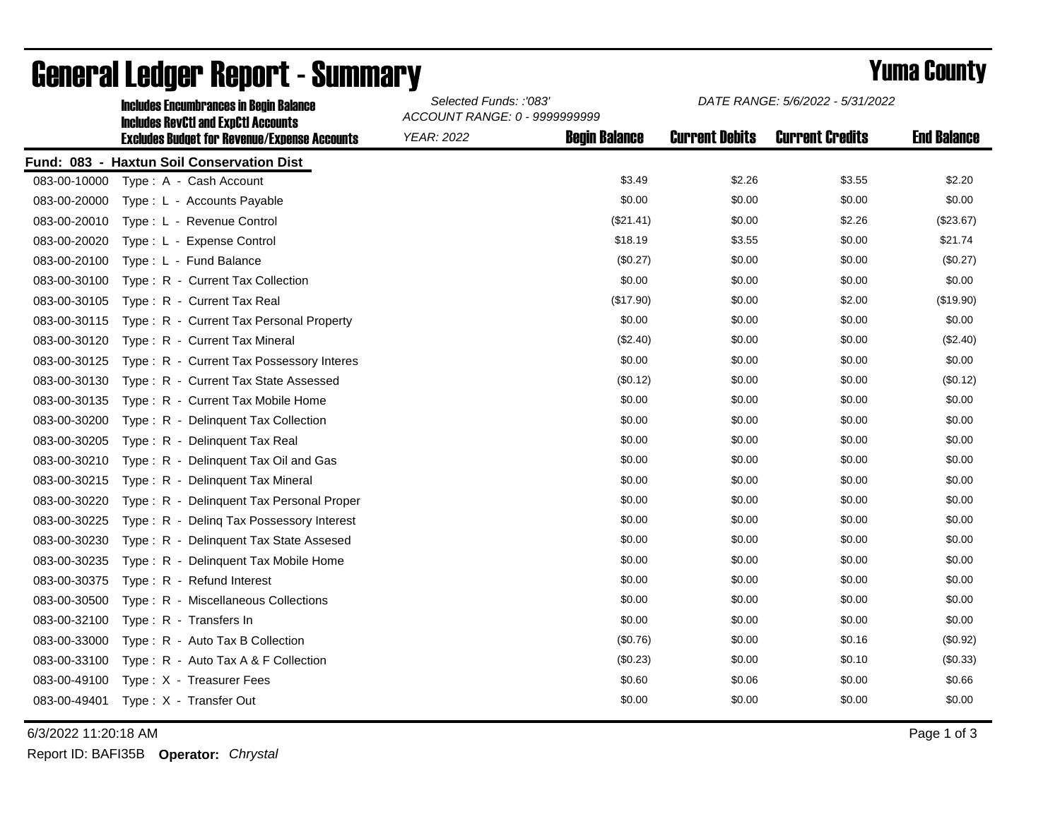| <b>Includes Encumbrances in Begin Balance</b>       |                                            |                      | DATE RANGE: 5/6/2022 - 5/31/2022                        |                        |                    |
|-----------------------------------------------------|--------------------------------------------|----------------------|---------------------------------------------------------|------------------------|--------------------|
| <b>Excludes Budget for Revenue/Expense Accounts</b> | <b>YEAR: 2022</b>                          | <b>Begin Balance</b> | <b>Current Debits</b>                                   | <b>Current Credits</b> | <b>End Balance</b> |
| Fund: 083 - Haxtun Soil Conservation Dist           |                                            |                      |                                                         |                        |                    |
| Type: A - Cash Account                              |                                            | \$3.49               | \$2.26                                                  | \$3.55                 | \$2.20             |
| Type: L - Accounts Payable                          |                                            | \$0.00               | \$0.00                                                  | \$0.00                 | \$0.00             |
| Type: L - Revenue Control                           |                                            | (\$21.41)            | \$0.00                                                  | \$2.26                 | (\$23.67)          |
| Type: L - Expense Control                           |                                            | \$18.19              | \$3.55                                                  | \$0.00                 | \$21.74            |
| Type: L - Fund Balance                              |                                            | (\$0.27)             | \$0.00                                                  | \$0.00                 | (\$0.27)           |
| Type: R - Current Tax Collection                    |                                            | \$0.00               | \$0.00                                                  | \$0.00                 | \$0.00             |
| Type: R - Current Tax Real                          |                                            | (\$17.90)            | \$0.00                                                  | \$2.00                 | (\$19.90)          |
| Type: R - Current Tax Personal Property             |                                            | \$0.00               | \$0.00                                                  | \$0.00                 | \$0.00             |
| Type: R - Current Tax Mineral                       |                                            | (\$2.40)             | \$0.00                                                  | \$0.00                 | (\$2.40)           |
| Type: R - Current Tax Possessory Interes            |                                            | \$0.00               | \$0.00                                                  | \$0.00                 | \$0.00             |
| Type: R - Current Tax State Assessed                |                                            | (\$0.12)             | \$0.00                                                  | \$0.00                 | (\$0.12)           |
| Type: R - Current Tax Mobile Home                   |                                            | \$0.00               | \$0.00                                                  | \$0.00                 | \$0.00             |
| Type: R - Delinquent Tax Collection                 |                                            | \$0.00               | \$0.00                                                  | \$0.00                 | \$0.00             |
| Type: R - Delinquent Tax Real                       |                                            | \$0.00               | \$0.00                                                  | \$0.00                 | \$0.00             |
| Type: R - Delinquent Tax Oil and Gas                |                                            | \$0.00               | \$0.00                                                  | \$0.00                 | \$0.00             |
| Type: R - Delinquent Tax Mineral                    |                                            | \$0.00               | \$0.00                                                  | \$0.00                 | \$0.00             |
| Type: R - Delinquent Tax Personal Proper            |                                            | \$0.00               | \$0.00                                                  | \$0.00                 | \$0.00             |
| Type: R - Deling Tax Possessory Interest            |                                            | \$0.00               | \$0.00                                                  | \$0.00                 | \$0.00             |
| Type: R - Delinquent Tax State Assesed              |                                            | \$0.00               | \$0.00                                                  | \$0.00                 | \$0.00             |
| Type: R - Delinquent Tax Mobile Home                |                                            | \$0.00               | \$0.00                                                  | \$0.00                 | \$0.00             |
| Type: R - Refund Interest                           |                                            | \$0.00               | \$0.00                                                  | \$0.00                 | \$0.00             |
| Type: R - Miscellaneous Collections                 |                                            | \$0.00               | \$0.00                                                  | \$0.00                 | \$0.00             |
| Type: R - Transfers In                              |                                            | \$0.00               | \$0.00                                                  | \$0.00                 | \$0.00             |
| Type: R - Auto Tax B Collection                     |                                            | (\$0.76)             | \$0.00                                                  | \$0.16                 | (\$0.92)           |
| Type: R - Auto Tax A & F Collection                 |                                            | (\$0.23)             | \$0.00                                                  | \$0.10                 | (\$0.33)           |
| Type: X - Treasurer Fees                            |                                            | \$0.60               | \$0.06                                                  | \$0.00                 | \$0.66             |
| Type: X - Transfer Out                              |                                            | \$0.00               | \$0.00                                                  | \$0.00                 | \$0.00             |
|                                                     | <b>Includes RevCtI and ExpCtI Accounts</b> |                      | Selected Funds: :'083'<br>ACCOUNT RANGE: 0 - 9999999999 |                        |                    |

## General Ledger Report - Summary **Selected Europe 2008 2008 County** Yuma County

6/3/2022 11:20:18 AM Page 1 of 3

Report ID: BAFI35B **Operator:** *Chrystal*

*DATE RANGE: 5/6/2022 - 5/31/2022*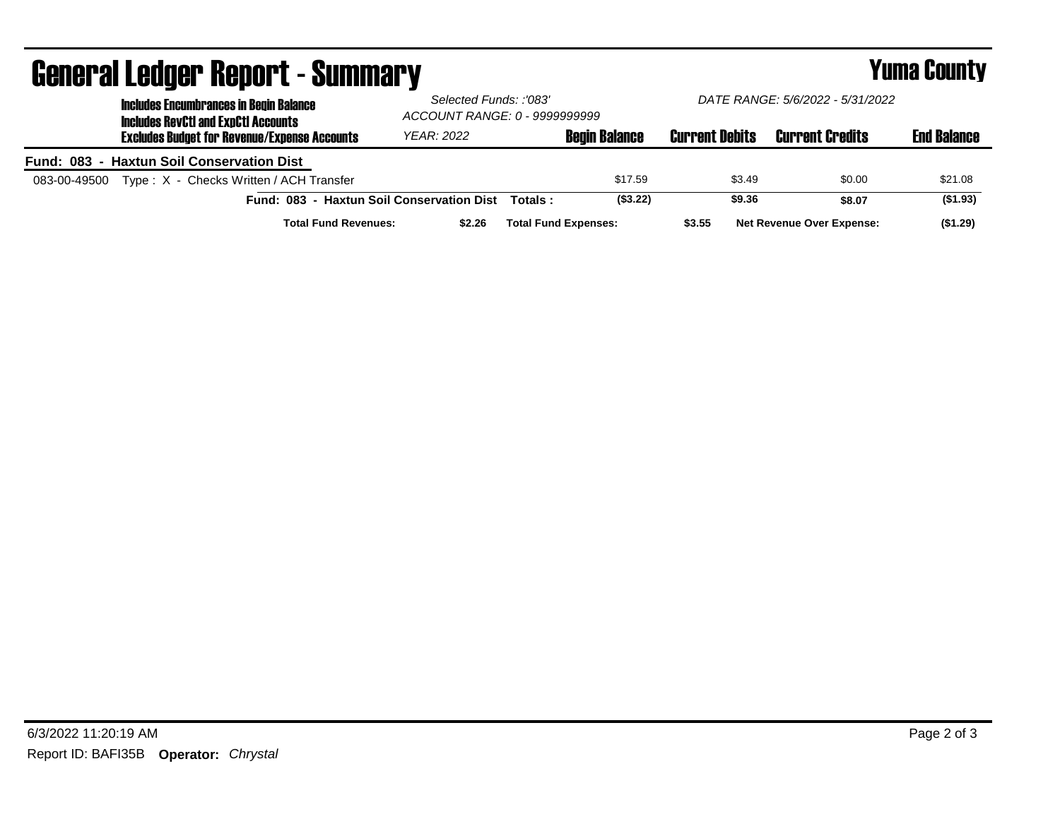| UGIIGI AI LGUYGI HGUUI L´OUIIIIIIAI Y                                                       |                                                         |                             |                       |                                  | I UIIIU VUULLY     |  |
|---------------------------------------------------------------------------------------------|---------------------------------------------------------|-----------------------------|-----------------------|----------------------------------|--------------------|--|
| <b>Includes Encumbrances in Begin Balance</b><br><b>Includes RevCtI and ExpCtI Accounts</b> | Selected Funds: :'083'<br>ACCOUNT RANGE: 0 - 9999999999 |                             |                       | DATE RANGE: 5/6/2022 - 5/31/2022 |                    |  |
| <b>Excludes Budget for Revenue/Expense Accounts</b>                                         | <b>YEAR: 2022</b>                                       | <b>Begin Balance</b>        | <b>Current Debits</b> | <b>Current Credits</b>           | <b>End Balance</b> |  |
| Fund: 083 - Haxtun Soil Conservation Dist                                                   |                                                         |                             |                       |                                  |                    |  |
| Type: X - Checks Written / ACH Transfer<br>083-00-49500                                     |                                                         | \$17.59                     | \$3.49                | \$0.00                           | \$21.08            |  |
| Fund: 083 - Haxtun Soil Conservation Dist                                                   |                                                         | Totals:                     | ( \$3.22)<br>\$9.36   | \$8.07                           | ( \$1.93)          |  |
| <b>Total Fund Revenues:</b>                                                                 | \$2.26                                                  | <b>Total Fund Expenses:</b> | \$3.55                | <b>Net Revenue Over Expense:</b> | (\$1.29)           |  |

## General Ledger Report - Summary Yuma County